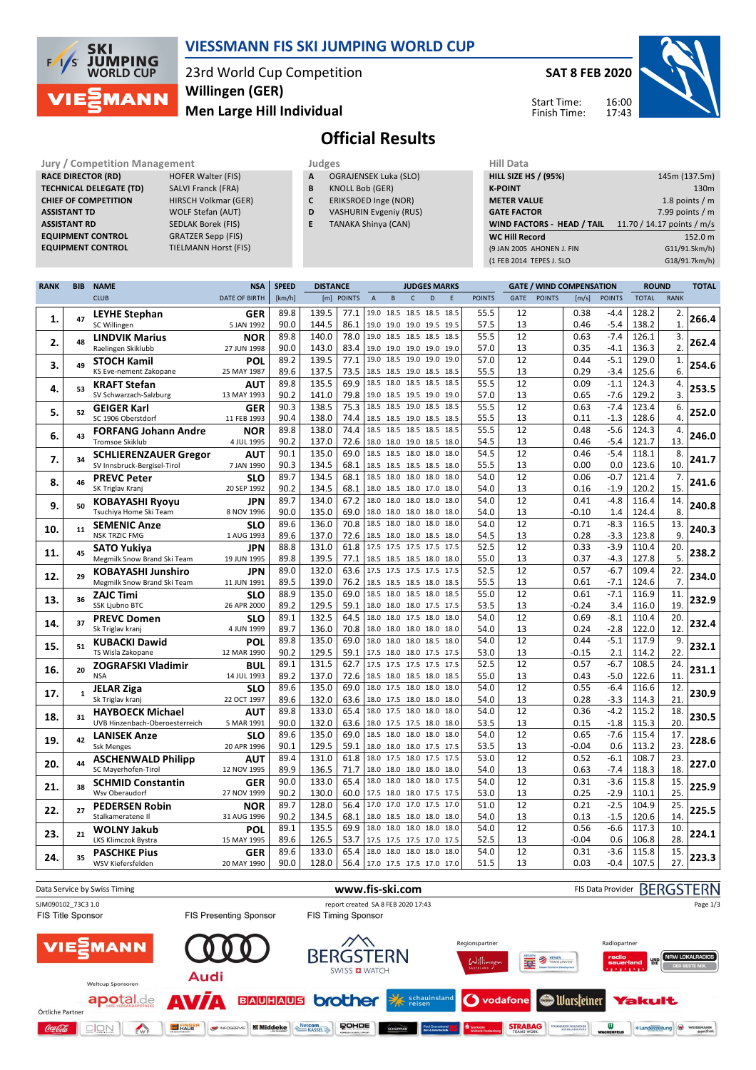

### **VIESSMANN FIS SKI JUMPING WORLD CUP**

23rd World Cup Competition **Men Large Hill Individual Willingen (GER)**

**SAT 8 FEB 2020**

Start Time: Finish Time: 16:00 17:43



# **Official Results**

**Jury / Competition Management Judges Hill Data**<br> **RACE DIRECTOR (RD)** HOFER Walter (FIS) **A** OGRAJENSEK Luka (SLO) **HILL SIZE HILL SIZE RACE DIRECTOR (RD) TECHNICAL DELEGATE (TD)** SALVI Franck (FRA) **CHIEF OF COMPETITION** HIRSCH Volkmar (GER) **ASSISTANT TD** WOLF Stefan (AUT) **ASSISTANT RD** SEDLAK Borek (FIS)<br>**EQUIPMENT CONTROL** GRATZER Sepp (FIS) **EQUIPMENT CONTROL** 

**EQUIPMENT CONTROL** GRATZER Sepp (FIS)<br> **EQUIPMENT CONTROL** TIELMANN Horst (FIS)

**A** OGRAJENSEK Luka (SLO)

- **B** KNOLL Bob (GER)
- **C** ERIKSROED Inge (NOR)
- **D** VASHURIN Evgeniy (RUS)
- **E** TANAKA Shinya (CAN)

| <b>HILL SIZE HS / (95%)</b>       | 145m (137.5m)              |  |  |  |  |  |  |
|-----------------------------------|----------------------------|--|--|--|--|--|--|
| <b>K-POINT</b>                    | 130 <sub>m</sub>           |  |  |  |  |  |  |
| <b>METER VALUE</b>                | 1.8 points $/m$            |  |  |  |  |  |  |
| <b>GATE FACTOR</b>                | 7.99 points $/m$           |  |  |  |  |  |  |
|                                   |                            |  |  |  |  |  |  |
| <b>WIND FACTORS - HEAD / TAIL</b> | 11.70 / 14.17 points / m/s |  |  |  |  |  |  |
| <b>WC Hill Record</b>             | 152.0 m                    |  |  |  |  |  |  |
| (9 JAN 2005 AHONEN J. FIN         | G11/91.5km/h)              |  |  |  |  |  |  |
| (1 FEB 2014 TEPES J. SLO          | G18/91.7km/h)              |  |  |  |  |  |  |

| <b>RANK</b> | <b>BIB</b>   | <b>NAME</b>                                              | <b>NSA</b>               | <b>SPEED</b> | <b>DISTANCE</b> |              |                                                      |   |                | <b>JUDGES MARKS</b> |             |               |             | <b>GATE / WIND COMPENSATION</b> |              |                  | <b>ROUND</b>   |                  | <b>TOTAL</b> |
|-------------|--------------|----------------------------------------------------------|--------------------------|--------------|-----------------|--------------|------------------------------------------------------|---|----------------|---------------------|-------------|---------------|-------------|---------------------------------|--------------|------------------|----------------|------------------|--------------|
|             |              | <b>CLUB</b>                                              | <b>DATE OF BIRTH</b>     | [km/h]       |                 | [m] POINTS   | $\overline{A}$                                       | B | $\mathsf{C}$   | D                   | $\mathsf E$ | <b>POINTS</b> | <b>GATE</b> | <b>POINTS</b>                   | [m/s]        | <b>POINTS</b>    | <b>TOTAL</b>   | <b>RANK</b>      |              |
| 1.          | 47           | <b>LEYHE Stephan</b>                                     | <b>GER</b>               | 89.8         | 139.5           | 77.1         | 19.0 18.5 18.5 18.5 18.5                             |   |                |                     |             | 55.5          | 12          |                                 | 0.38         | $-4.4$           | 128.2          | 2.               | 266.4        |
|             |              | SC Willingen                                             | 5 JAN 1992               | 90.0         | 144.5           | 86.1         | 19.0 19.0 19.0 19.5 19.5                             |   |                |                     |             | 57.5          | 13          |                                 | 0.46         | $-5.4$           | 138.2          | 1.               |              |
| 2.          | 48           | <b>LINDVIK Marius</b>                                    | <b>NOR</b>               | 89.8         | 140.0           | 78.0         | 19.0 18.5 18.5 18.5 18.5                             |   |                |                     |             | 55.5          | 12          |                                 | 0.63         | $-7.4$           | 126.1          | 3.               | 262.4        |
|             |              | Raelingen Skiklubb                                       | 27 JUN 1998              | 90.0         | 143.0           | 83.4         | 19.0 19.0 19.0 19.0 19.0                             |   |                |                     |             | 57.0          | 13          |                                 | 0.35         | -4.1             | 136.3          | $\overline{2}$ . |              |
| 3.          | 49           | <b>STOCH Kamil</b>                                       | POL                      | 89.2         | 139.5           | 77.1         | 19.0                                                 |   | 18.5 19.0 19.0 |                     | 19.0        | 57.0          | 12          |                                 | 0.44         | $-5.1$           | 129.0          | 1.               | 254.6        |
|             |              | KS Eve-nement Zakopane                                   | 25 MAY 1987              | 89.6         | 137.5           | 73.5         | 18.5 18.5 19.0 18.5 18.5                             |   |                |                     |             | 55.5          | 13          |                                 | 0.29         | $-3.4$           | 125.6          | 6.               |              |
| 4.          | 53           | <b>KRAFT Stefan</b>                                      | AUT                      | 89.8         | 135.5           | 69.9         | 18.5                                                 |   | 18.0 18.5 18.5 |                     | 18.5        | 55.5          | 12          |                                 | 0.09         | $-1.1$           | 124.3          | 4.               | 253.5        |
|             |              | SV Schwarzach-Salzburg                                   | 13 MAY 1993              | 90.2         | 141.0           | 79.8         | 19.0 18.5 19.5 19.0 19.0                             |   |                |                     |             | 57.0          | 13          |                                 | 0.65         | -7.6             | 129.2          | 3.               |              |
| 5.          | 52           | <b>GEIGER Karl</b>                                       | GER                      | 90.3         | 138.5           | 75.3         | 18.5                                                 |   | 18.5 19.0 18.5 |                     | 18.5        | 55.5          | 12          |                                 | 0.63         | $-7.4$           | 123.4          | 6.               | 252.0        |
|             |              | SC 1906 Oberstdorf                                       | 11 FEB 1993              | 90.4         | 138.0           | 74.4         | 18.5 18.5 19.0 18.5 18.5                             |   |                |                     |             | 55.5          | 13          |                                 | 0.11         | $-1.3$           | 128.6          | 4.               |              |
| 6.          | 43           | <b>FORFANG Johann Andre</b>                              | <b>NOR</b>               | 89.8         | 138.0           | 74.4         | 18.5                                                 |   |                | 18.5 18.5 18.5 18.5 |             | 55.5          | 12          |                                 | 0.48         | $-5.6$           | 124.3          | 4.               | 246.0        |
|             |              | <b>Tromsoe Skiklub</b>                                   | 4 JUL 1995               | 90.2         | 137.0           | 72.6         | 18.0 18.0 19.0 18.5 18.0                             |   |                |                     |             | 54.5          | 13          |                                 | 0.46         | $-5.4$           | 121.7          | 13.              |              |
| 7.          | 34           | <b>SCHLIERENZAUER Gregor</b>                             | AUT                      | 90.1         | 135.0           | 69.0         | 18.5                                                 |   | 18.5 18.0 18.0 |                     | 18.0        | 54.5          | 12          |                                 | 0.46         | $-5.4$           | 118.1          | 8.               | 241.7        |
|             |              | SV Innsbruck-Bergisel-Tirol                              | 7 JAN 1990               | 90.3         | 134.5           | 68.1         | 18.5 18.5 18.5 18.5 18.0                             |   |                |                     |             | 55.5          | 13          |                                 | 0.00         | 0.0              | 123.6          | 10.              |              |
| 8.          | 46           | <b>PREVC Peter</b>                                       | <b>SLO</b>               | 89.7         | 134.5           | 68.1         | 18.5                                                 |   | 18.0 18.0 18.0 |                     | 18.0        | 54.0          | 12          |                                 | 0.06         | $-0.7$           | 121.4          | 7.               | 241.6        |
|             |              | SK Triglav Kranj                                         | 20 SEP 1992              | 90.2         | 134.5           | 68.1         | 18.0 18.5 18.0 17.0 18.0                             |   |                |                     |             | 54.0          | 13          |                                 | 0.16         | $-1.9$           | 120.2          | 15.              |              |
| 9.          | 50           | <b>KOBAYASHI Ryoyu</b>                                   | JPN                      | 89.7         | 134.0           | 67.2         | 18.0                                                 |   | 18.0 18.0 18.0 |                     | 18.0        | 54.0          | 12          |                                 | 0.41         | $-4.8$           | 116.4          | 14.              | 240.8        |
|             |              | Tsuchiya Home Ski Team                                   | 8 NOV 1996               | 90.0         | 135.0           | 69.0         | 18.0 18.0 18.0 18.0 18.0<br>18.5 18.0 18.0 18.0      |   |                |                     | 18.0        | 54.0          | 13          |                                 | $-0.10$      | 1.4              | 124.4          | 8.               |              |
| 10.         | 11           | <b>SEMENIC Anze</b><br><b>NSK TRZIC FMG</b>              | <b>SLO</b>               | 89.6<br>89.6 | 136.0<br>137.0  | 70.8<br>72.6 |                                                      |   |                |                     |             | 54.0<br>54.5  | 12<br>13    |                                 | 0.71         | $-8.3$           | 116.5          | 13.<br>9         | 240.3        |
|             |              |                                                          | 1 AUG 1993               | 88.8         | 131.0           | 61.8         | 18.5 18.0 18.0 18.5 18.0<br>17.5 17.5 17.5 17.5 17.5 |   |                |                     |             | 52.5          | 12          |                                 | 0.28<br>0.33 | $-3.3$<br>$-3.9$ | 123.8<br>110.4 | 20.              |              |
| 11.         | 45           | <b>SATO Yukiva</b>                                       | JPN<br>19 JUN 1995       | 89.8         | 139.5           | 77.1         | 18.5 18.5 18.5 18.0 18.0                             |   |                |                     |             | 55.0          | 13          |                                 | 0.37         | $-4.3$           | 127.8          | 5.               | 238.2        |
|             |              | Megmilk Snow Brand Ski Team                              |                          | 89.0         | 132.0           | 63.6         | 17.5 17.5 17.5 17.5 17.5                             |   |                |                     |             | 52.5          | 12          |                                 | 0.57         | $-6.7$           | 109.4          | 22.              |              |
| 12.         | 29           | <b>KOBAYASHI Junshiro</b><br>Megmilk Snow Brand Ski Team | JPN<br>11 JUN 1991       | 89.5         | 139.0           | 76.2         | 18.5 18.5 18.5 18.0 18.5                             |   |                |                     |             | 55.5          | 13          |                                 | 0.61         | -7.1             | 124.6          | 7.               | 234.0        |
|             |              |                                                          | <b>SLO</b>               | 88.9         | 135.0           | 69.0         | 18.5 18.0 18.5 18.0 18.5                             |   |                |                     |             | 55.0          | 12          |                                 | 0.61         | $-7.1$           | 116.9          | 11.              |              |
| 13.         | 36           | <b>ZAJC Timi</b><br><b>SSK Ljubno BTC</b>                | 26 APR 2000              | 89.2         | 129.5           | 59.1         | 18.0 18.0 18.0 17.5 17.5                             |   |                |                     |             | 53.5          | 13          |                                 | $-0.24$      | 3.4              | 116.0          | 19               | 232.9        |
|             |              |                                                          |                          | 89.1         | 132.5           | 64.5         | 18.0 18.0 17.5 18.0 18.0                             |   |                |                     |             | 54.0          | 12          |                                 | 0.69         | $-8.1$           | 110.4          | 20.              |              |
| 14.         | 37           | <b>PREVC Domen</b><br>Sk Triglav kranj                   | <b>SLO</b><br>4 JUN 1999 | 89.7         | 136.0           | 70.8         | 18.0 18.0 18.0 18.0 18.0                             |   |                |                     |             | 54.0          | 13          |                                 | 0.24         | $-2.8$           | 122.0          | 12               | 232.4        |
|             |              | <b>KUBACKI Dawid</b>                                     | POL                      | 89.8         | 135.0           | 69.0         | 18.0 18.0 18.0 18.5 18.0                             |   |                |                     |             | 54.0          | 12          |                                 | 0.44         | $-5.1$           | 117.9          | 9.               |              |
| 15.         | 51           | TS Wisla Zakopane                                        | 12 MAR 1990              | 90.2         | 129.5           | 59.1         | 17.5 18.0 18.0 17.5 17.5                             |   |                |                     |             | 53.0          | 13          |                                 | $-0.15$      | 2.1              | 114.2          | 22.              | 232.1        |
|             |              | <b>ZOGRAFSKI Vladimir</b>                                | BUL                      | 89.1         | 131.5           | 62.7         | 17.5 17.5 17.5 17.5 17.5                             |   |                |                     |             | 52.5          | 12          |                                 | 0.57         | $-6.7$           | 108.5          | 24.              |              |
| 16.         | 20           | <b>NSA</b>                                               | 14 JUL 1993              | 89.2         | 137.0           | 72.6         | 18.5 18.0 18.5 18.0 18.5                             |   |                |                     |             | 55.0          | 13          |                                 | 0.43         | $-5.0$           | 122.6          | 11               | 231.1        |
|             |              | <b>JELAR Ziga</b>                                        | <b>SLO</b>               | 89.6         | 135.0           | 69.0         | 18.0 17.5 18.0 18.0                                  |   |                |                     | 18.0        | 54.0          | 12          |                                 | 0.55         | $-6.4$           | 116.6          | 12.              |              |
| 17.         | $\mathbf{1}$ | Sk Triglav kranj                                         | 22 OCT 1997              | 89.6         | 132.0           | 63.6         | 18.0 17.5 18.0 18.0                                  |   |                |                     | 18.0        | 54.0          | 13          |                                 | 0.28         | $-3.3$           | 114.3          | 21               | 230.9        |
|             |              | <b>HAYBOECK Michael</b>                                  | <b>AUT</b>               | 89.8         | 133.0           | 65.4         | 18.0 17.5 18.0 18.0                                  |   |                |                     | 18.0        | 54.0          | 12          |                                 | 0.36         | $-4.2$           | 115.2          | 18.              |              |
| 18.         | 31           | UVB Hinzenbach-Oberoesterreich                           | 5 MAR 1991               | 90.0         | 132.0           | 63.6         | 18.0 17.5 17.5 18.0                                  |   |                |                     | 18.0        | 53.5          | 13          |                                 | 0.15         | $-1.8$           | 115.3          | 20               | 230.5        |
|             |              | <b>LANISEK Anze</b>                                      | <b>SLO</b>               | 89.6         | 135.0           | 69.0         | 18.5 18.0 18.0 18.0                                  |   |                |                     | 18.0        | 54.0          | 12          |                                 | 0.65         | $-7.6$           | 115.4          | 17.              |              |
| 19.         | 42           | <b>Ssk Menges</b>                                        | 20 APR 1996              | 90.1         | 129.5           | 59.1         | 18.0 18.0 18.0 17.5 17.5                             |   |                |                     |             | 53.5          | 13          |                                 | $-0.04$      | 0.6              | 113.2          | 23.              | 228.6        |
|             | 44           | <b>ASCHENWALD Philipp</b>                                | AUT                      | 89.4         | 131.0           | 61.8         | 18.0 17.5 18.0 17.5 17.5                             |   |                |                     |             | 53.0          | 12          |                                 | 0.52         | $-6.1$           | 108.7          | 23.              | 227.0        |
| 20.         |              | SC Mayerhofen-Tirol                                      | 12 NOV 1995              | 89.9         | 136.5           | 71.7         | 18.0 18.0 18.0 18.0 18.0                             |   |                |                     |             | 54.0          | 13          |                                 | 0.63         | $-7.4$           | 118.3          | 18.              |              |
|             | 38           | <b>SCHMID Constantin</b>                                 | <b>GER</b>               | 90.0         | 133.0           | 65.4         | 18.0 18.0 18.0 18.0 17.5                             |   |                |                     |             | 54.0          | 12          |                                 | 0.31         | $-3.6$           | 115.8          | 15.              | 225.9        |
| 21.         |              | Wsv Oberaudorf                                           | 27 NOV 1999              | 90.2         | 130.0           | 60.0         | 17.5 18.0 18.0 17.5 17.5                             |   |                |                     |             | 53.0          | 13          |                                 | 0.25         | $-2.9$           | 110.1          | 25.              |              |
| 22.         | 27           | <b>PEDERSEN Robin</b>                                    | <b>NOR</b>               | 89.7         | 128.0           | 56.4         | 17.0 17.0 17.0 17.5 17.0                             |   |                |                     |             | 51.0          | 12          |                                 | 0.21         | $-2.5$           | 104.9          | 25.              | 225.5        |
|             |              | Stalkameratene II                                        | 31 AUG 1996              | 90.2         | 134.5           | 68.1         | 18.0 18.5 18.0 18.0                                  |   |                |                     | 18.0        | 54.0          | 13          |                                 | 0.13         | $-1.5$           | 120.6          | 14.              |              |
| 23.         | 21           | <b>WOLNY Jakub</b>                                       | POL                      | 89.1         | 135.5           | 69.9         | 18.0 18.0 18.0 18.0                                  |   |                |                     | 18.0        | 54.0          | 12          |                                 | 0.56         | $-6.6$           | 117.3          | 10.              | 224.1        |
|             |              | LKS Klimczok Bystra                                      | 15 MAY 1995              | 89.6         | 126.5           | 53.7         | 17.5                                                 |   | 17.5 17.5 17.0 |                     | 17.5        | 52.5          | 13          |                                 | $-0.04$      | 0.6              | 106.8          | 28               |              |
| 24.         | 35           | <b>PASCHKE Pius</b>                                      | GER                      | 89.6         | 133.0           | 65.4         | 18.0 18.0 18.0 18.0                                  |   |                |                     | 18.0        | 54.0          | 12          |                                 | 0.31         | $-3.6$           | 115.8          | 15.              | 223.3        |
|             |              | WSV Kiefersfelden                                        | 20 MAY 1990              | 90.0         | 128.0           | 56.4         | 17.0 17.5 17.5 17.0 17.0                             |   |                |                     |             | 51.5          | 13          |                                 | 0.03         | $-0.4$           | 107.5          | 27.              |              |

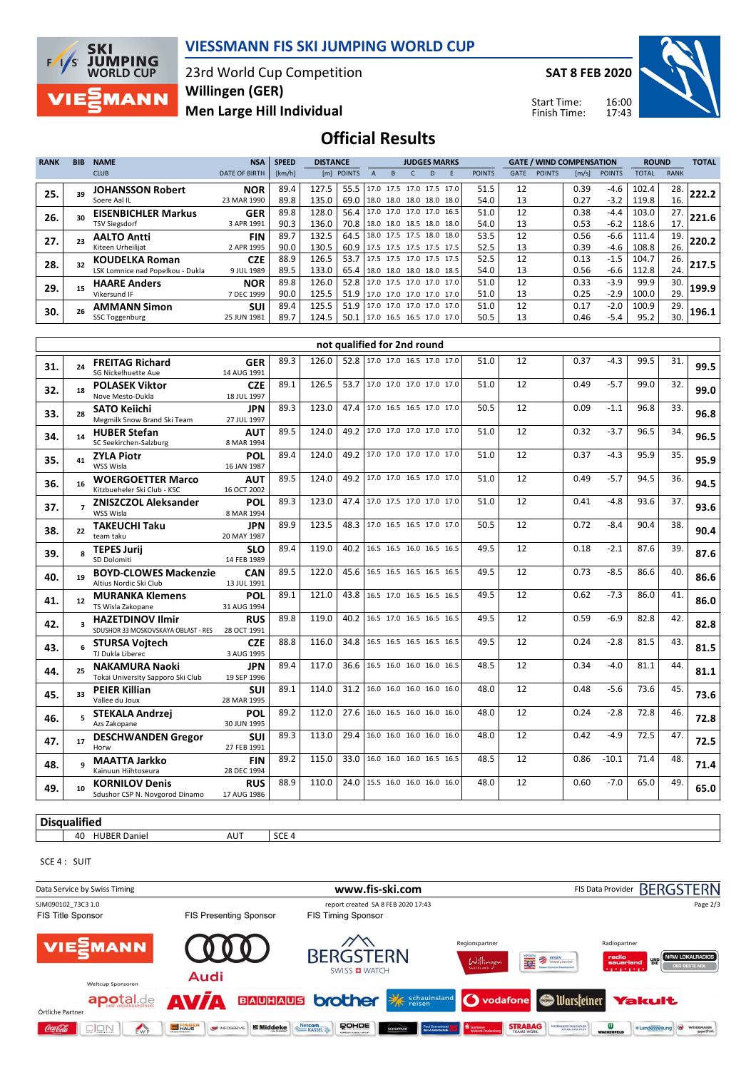

#### **VIESSMANN FIS SKI JUMPING WORLD CUP**

23rd World Cup Competition **Men Large Hill Individual Willingen (GER)**

**SAT 8 FEB 2020**

Start Time: Finish Time:



### **Official Results**

| <b>RANK</b> | <b>BIB</b> | <b>NAME</b>                      | <b>NSA</b>           | <b>SPEED</b> | <b>DISTANCE</b><br><b>JUDGES MARKS</b> |                                 |  |                          |   | <b>GATE / WIND COMPENSATION</b> |               |             |               |                       | <b>ROUND</b>  |              |             |       |
|-------------|------------|----------------------------------|----------------------|--------------|----------------------------------------|---------------------------------|--|--------------------------|---|---------------------------------|---------------|-------------|---------------|-----------------------|---------------|--------------|-------------|-------|
|             |            | <b>CLUB</b>                      | <b>DATE OF BIRTH</b> | [km/h]       |                                        | [m] POINTS                      |  | B                        | D | F                               | <b>POINTS</b> | <b>GATE</b> | <b>POINTS</b> | $\lfloor m/s \rfloor$ | <b>POINTS</b> | <b>TOTAL</b> | <b>RANK</b> |       |
| 25.         |            | JOHANSSON Robert                 | <b>NOR</b>           | 89.4         | 127.5                                  | 55.5   17.0 17.5 17.0 17.5 17.0 |  |                          |   |                                 | 51.5          | 12          |               | 0.39                  | $-4.6$        | 102.4        | 28.         | 222.2 |
|             |            | Soere Aal IL                     | 23 MAR 1990          | 89.8         | 135.0                                  | 69.0   18.0 18.0 18.0 18.0 18.0 |  |                          |   |                                 | 54.0          | 13          |               | 0.27                  | $-3.2$        | 119.8        | 16.         |       |
| 26.         |            | <b>EISENBICHLER Markus</b>       | <b>GER</b>           | 89.8         | 128.0                                  | 56.4 17.0 17.0 17.0 17.0 16.5   |  |                          |   |                                 | 51.0          | 12          |               | 0.38                  | $-4.4$        | 103.0        | 27.         | 221.6 |
|             |            | <b>TSV Siegsdorf</b>             | 3 APR 1991           | 90.3         | 136.0                                  | 70.8 38.0 18.0 18.5 18.0 18.0   |  |                          |   |                                 | 54.0          | 13          |               | 0.53                  | $-6.2$        | 118.6        | 17.         |       |
| 27.         |            | <b>AALTO Antti</b>               | <b>FIN</b>           | 89.7         | 132.5                                  | 64.5                            |  | 18.0 17.5 17.5 18.0 18.0 |   |                                 | 53.5          | 12          |               | 0.56                  | $-6.6$        | 111.4        | 19.         | 220.2 |
|             |            | Kiteen Urheilijat                | 2 APR 1995           | 90.0         | 130.5                                  | 60.9 17.5 17.5 17.5 17.5 17.5   |  |                          |   |                                 | 52.5          | 13          |               | 0.39                  | $-4.6$        | 108.8        | 26.         |       |
| 28.         |            | <b>KOUDELKA Roman</b>            | <b>CZE</b>           | 88.9         | 126.5                                  | 53.7                            |  |                          |   | 117.5 17.5 17.0 17.5 17.5"      | 52.5          | 12          |               | 0.13                  | $-1.5$        | 104.7        | 26.         | 217.5 |
|             |            | LSK Lomnice nad Popelkou - Dukla | 9 JUL 1989           | 89.5         | 133.0                                  | 65.4 18.0 18.0 18.0 18.0 18.5   |  |                          |   |                                 | 54.0          | 13          |               | 0.56                  | $-6.6$        | 112.8        | 24.         |       |
| 29.         |            | <b>HAARE Anders</b>              | <b>NOR</b>           | 89.8         | 126.0                                  | 52.8                            |  |                          |   | 17.0 17.5 17.0 17.0 17.0        | 51.0          | 12          |               | 0.33                  | $-3.9$        | 99.9         | 30.         | 199.9 |
|             |            | Vikersund IF                     | 7 DEC 1999           | 90.0         | 125.5                                  | 51.9                            |  |                          |   | 17.0 17.0 17.0 17.0 17.0        | 51.0          | 13          |               | 0.25                  | $-2.9$        | 100.0        | 29.         |       |
| 30.         |            | <b>AMMANN Simon</b>              | <b>SUI</b>           | 89.4         | 125.5                                  | 51.9                            |  |                          |   | 17.0 17.0 17.0 17.0 17.0        | 51.0          | 12          |               | 0.17                  | $-2.0$        | 100.9        | 29.         | 196.1 |
|             |            | SSC Toggenburg                   | 25 JUN 1981          | 89.7         | 124.5                                  | 50.1 17.0 16.5 16.5 17.0 17.0   |  |                          |   |                                 | 50.5          | 13          |               | 0.46                  | $-5.4$        | 95.2         | 30.         |       |

|     | not qualified for 2nd round |                                                                |                           |      |       |      |                               |                          |      |    |      |         |      |     |      |
|-----|-----------------------------|----------------------------------------------------------------|---------------------------|------|-------|------|-------------------------------|--------------------------|------|----|------|---------|------|-----|------|
| 31. | 24                          | <b>FREITAG Richard</b><br><b>SG Nickelhuette Aue</b>           | <b>GER</b><br>14 AUG 1991 | 89.3 | 126.0 |      | 52.8 17.0 17.0 16.5 17.0 17.0 |                          | 51.0 | 12 | 0.37 | $-4.3$  | 99.5 | 31. | 99.5 |
| 32. | 18                          | <b>POLASEK Viktor</b><br>Nove Mesto-Dukla                      | <b>CZE</b><br>18 JUL 1997 | 89.1 | 126.5 | 53.7 |                               | 17.0 17.0 17.0 17.0 17.0 | 51.0 | 12 | 0.49 | $-5.7$  | 99.0 | 32. | 99.0 |
| 33. | 28                          | <b>SATO Keiichi</b><br>Megmilk Snow Brand Ski Team             | <b>JPN</b><br>27 JUL 1997 | 89.3 | 123.0 | 47.4 |                               | 17.0 16.5 16.5 17.0 17.0 | 50.5 | 12 | 0.09 | $-1.1$  | 96.8 | 33. | 96.8 |
| 34. | 14                          | <b>HUBER Stefan</b><br>SC Seekirchen-Salzburg                  | <b>AUT</b><br>8 MAR 1994  | 89.5 | 124.0 | 49.2 |                               | 17.0 17.0 17.0 17.0 17.0 | 51.0 | 12 | 0.32 | $-3.7$  | 96.5 | 34. | 96.5 |
| 35. | 41                          | <b>ZYLA Piotr</b><br>WSS Wisla                                 | POL<br>16 JAN 1987        | 89.4 | 124.0 | 49.2 |                               | 17.0 17.0 17.0 17.0 17.0 | 51.0 | 12 | 0.37 | $-4.3$  | 95.9 | 35. | 95.9 |
| 36. | 16                          | <b>WOERGOETTER Marco</b><br>Kitzbueheler Ski Club - KSC        | <b>AUT</b><br>16 OCT 2002 | 89.5 | 124.0 |      | 49.2 17.0 17.0 16.5 17.0 17.0 |                          | 51.0 | 12 | 0.49 | $-5.7$  | 94.5 | 36. | 94.5 |
| 37. |                             | <b>ZNISZCZOL Aleksander</b><br>WSS Wisla                       | POL<br>8 MAR 1994         | 89.3 | 123.0 | 47.4 |                               | 17.0 17.5 17.0 17.0 17.0 | 51.0 | 12 | 0.41 | $-4.8$  | 93.6 | 37. | 93.6 |
| 38. | 22                          | <b>TAKEUCHI Taku</b><br>team taku                              | <b>JPN</b><br>20 MAY 1987 | 89.9 | 123.5 |      | 48.3 17.0 16.5 16.5 17.0 17.0 |                          | 50.5 | 12 | 0.72 | -8.4    | 90.4 | 38. | 90.4 |
| 39. |                             | <b>TEPES Jurij</b><br>SD Dolomiti                              | <b>SLO</b><br>14 FEB 1989 | 89.4 | 119.0 | 40.2 |                               | 16.5 16.5 16.0 16.5 16.5 | 49.5 | 12 | 0.18 | $-2.1$  | 87.6 | 39. | 87.6 |
| 40. | 19                          | <b>BOYD-CLOWES Mackenzie</b><br>Altius Nordic Ski Club         | <b>CAN</b><br>13 JUL 1991 | 89.5 | 122.0 | 45.6 |                               | 16.5 16.5 16.5 16.5 16.5 | 49.5 | 12 | 0.73 | $-8.5$  | 86.6 | 40. | 86.6 |
| 41. | 12                          | <b>MURANKA Klemens</b><br>TS Wisla Zakopane                    | POL<br>31 AUG 1994        | 89.1 | 121.0 | 43.8 | 16.5 17.0 16.5 16.5 16.5      |                          | 49.5 | 12 | 0.62 | $-7.3$  | 86.0 | 41. | 86.0 |
| 42. | $\overline{\mathbf{3}}$     | <b>HAZETDINOV Ilmir</b><br>SDUSHOR 33 MOSKOVSKAYA OBLAST - RES | <b>RUS</b><br>28 OCT 1991 | 89.8 | 119.0 |      | 40.2 16.5 17.0 16.5 16.5 16.5 |                          | 49.5 | 12 | 0.59 | $-6.9$  | 82.8 | 42. | 82.8 |
| 43. |                             | <b>STURSA Voitech</b><br>TJ Dukla Liberec                      | <b>CZE</b><br>3 AUG 1995  | 88.8 | 116.0 | 34.8 |                               | 16.5 16.5 16.5 16.5 16.5 | 49.5 | 12 | 0.24 | $-2.8$  | 81.5 | 43. | 81.5 |
| 44. | 25                          | <b>NAKAMURA Naoki</b><br>Tokai University Sapporo Ski Club     | <b>JPN</b><br>19 SEP 1996 | 89.4 | 117.0 | 36.6 |                               | 16.5 16.0 16.0 16.0 16.5 | 48.5 | 12 | 0.34 | $-4.0$  | 81.1 | 44. | 81.1 |
| 45. | 33                          | <b>PEIER Killian</b><br>Vallee du Joux                         | <b>SUI</b><br>28 MAR 1995 | 89.1 | 114.0 | 31.2 |                               | 16.0 16.0 16.0 16.0 16.0 | 48.0 | 12 | 0.48 | $-5.6$  | 73.6 | 45. | 73.6 |
| 46. |                             | <b>STEKALA Andrzej</b><br>Azs Zakopane                         | <b>POL</b><br>30 JUN 1995 | 89.2 | 112.0 | 27.6 |                               | 16.0 16.5 16.0 16.0 16.0 | 48.0 | 12 | 0.24 | $-2.8$  | 72.8 | 46. | 72.8 |
| 47. | 17                          | <b>DESCHWANDEN Gregor</b><br>Horw                              | <b>SUI</b><br>27 FEB 1991 | 89.3 | 113.0 | 29.4 |                               | 16.0 16.0 16.0 16.0 16.0 | 48.0 | 12 | 0.42 | $-4.9$  | 72.5 | 47. | 72.5 |
| 48. |                             | <b>MAATTA Jarkko</b><br>Kainuun Hiihtoseura                    | <b>FIN</b><br>28 DEC 1994 | 89.2 | 115.0 | 33.0 |                               | 16.0 16.0 16.0 16.5 16.5 | 48.5 | 12 | 0.86 | $-10.1$ | 71.4 | 48. | 71.4 |
| 49. | 10                          | <b>KORNILOV Denis</b><br>Sdushor CSP N. Novgorod Dinamo        | <b>RUS</b><br>17 AUG 1986 | 88.9 | 110.0 | 24.0 | 15.5 16.0 16.0 16.0 16.0      |                          | 48.0 | 12 | 0.60 | $-7.0$  | 65.0 | 49. | 65.0 |

**Disqualified**

40 HUBER Daniel AUT SCE 4

SCE 4 : SUIT